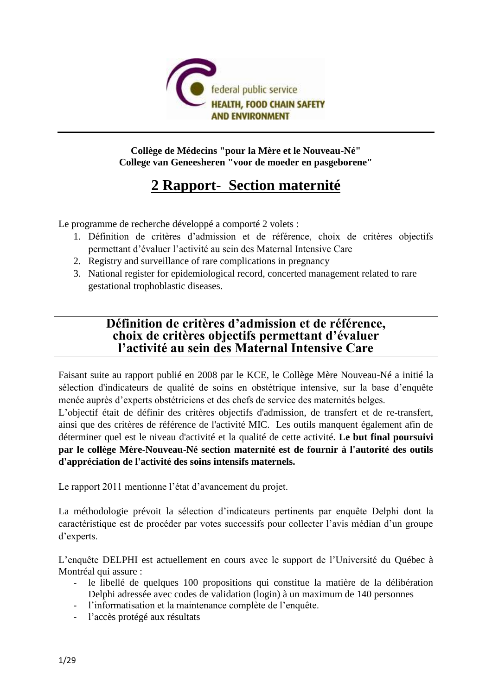

## **Collège de Médecins "pour la Mère et le Nouveau-Né" College van Geneesheren "voor de moeder en pasgeborene"**

# **2 Rapport- Section maternité**

Le programme de recherche développé a comporté 2 volets :

- 1. Définition de critères d'admission et de référence, choix de critères objectifs permettant d'évaluer l'activité au sein des Maternal Intensive Care
- 2. Registry and surveillance of rare complications in pregnancy
- 3. National register for epidemiological record, concerted management related to rare gestational trophoblastic diseases.

# **Définition de critères d'admission et de référence, choix de critères objectifs permettant d'évaluer l'activité au sein des Maternal Intensive Care**

Faisant suite au rapport publié en 2008 par le KCE, le Collège Mère Nouveau-Né a initié la sélection d'indicateurs de qualité de soins en obstétrique intensive, sur la base d'enquête menée auprès d'experts obstétriciens et des chefs de service des maternités belges.

L'objectif était de définir des critères objectifs d'admission, de transfert et de re-transfert, ainsi que des critères de référence de l'activité MIC. Les outils manquent également afin de déterminer quel est le niveau d'activité et la qualité de cette activité. **Le but final poursuivi par le collège Mère-Nouveau-Né section maternité est de fournir à l'autorité des outils d'appréciation de l'activité des soins intensifs maternels.** 

Le rapport 2011 mentionne l'état d'avancement du projet.

La méthodologie prévoit la sélection d'indicateurs pertinents par enquête Delphi dont la caractéristique est de procéder par votes successifs pour collecter l'avis médian d'un groupe d'experts.

L'enquête DELPHI est actuellement en cours avec le support de l'Université du Québec à Montréal qui assure :

- le libellé de quelques 100 propositions qui constitue la matière de la délibération Delphi adressée avec codes de validation (login) à un maximum de 140 personnes
- l'informatisation et la maintenance complète de l'enquête.
- l'accès protégé aux résultats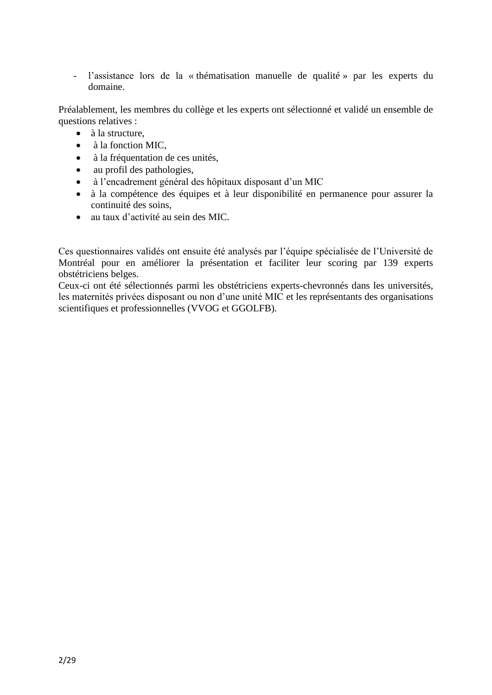- l'assistance lors de la « thématisation manuelle de qualité » par les experts du domaine.

Préalablement, les membres du collège et les experts ont sélectionné et validé un ensemble de questions relatives :

- à la structure,
- à la fonction MIC.
- à la fréquentation de ces unités,
- au profil des pathologies,
- à l'encadrement général des hôpitaux disposant d'un MIC
- à la compétence des équipes et à leur disponibilité en permanence pour assurer la continuité des soins,
- au taux d'activité au sein des MIC.

Ces questionnaires validés ont ensuite été analysés par l'équipe spécialisée de l'Université de Montréal pour en améliorer la présentation et faciliter leur scoring par 139 experts obstétriciens belges.

Ceux-ci ont été sélectionnés parmi les obstétriciens experts-chevronnés dans les universités, les maternités privées disposant ou non d'une unité MIC et les représentants des organisations scientifiques et professionnelles (VVOG et GGOLFB).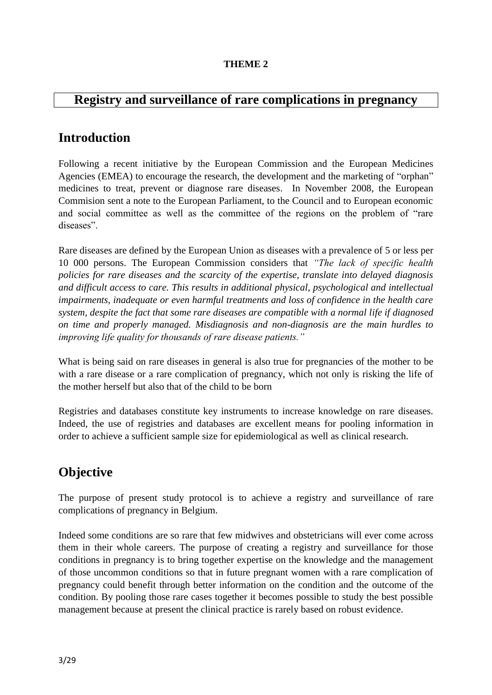## **THEME 2**

# **Registry and surveillance of rare complications in pregnancy**

# **Introduction**

Following a recent initiative by the European Commission and the European Medicines Agencies (EMEA) to encourage the research, the development and the marketing of "orphan" medicines to treat, prevent or diagnose rare diseases. In November 2008, the European Commision sent a note to the European Parliament, to the Council and to European economic and social committee as well as the committee of the regions on the problem of "rare diseases".

Rare diseases are defined by the European Union as diseases with a prevalence of 5 or less per 10 000 persons. The European Commission considers that *"The lack of specific health policies for rare diseases and the scarcity of the expertise, translate into delayed diagnosis and difficult access to care. This results in additional physical, psychological and intellectual impairments, inadequate or even harmful treatments and loss of confidence in the health care system, despite the fact that some rare diseases are compatible with a normal life if diagnosed on time and properly managed. Misdiagnosis and non-diagnosis are the main hurdles to improving life quality for thousands of rare disease patients."*

What is being said on rare diseases in general is also true for pregnancies of the mother to be with a rare disease or a rare complication of pregnancy, which not only is risking the life of the mother herself but also that of the child to be born

Registries and databases constitute key instruments to increase knowledge on rare diseases. Indeed, the use of registries and databases are excellent means for pooling information in order to achieve a sufficient sample size for epidemiological as well as clinical research.

# **Objective**

The purpose of present study protocol is to achieve a registry and surveillance of rare complications of pregnancy in Belgium.

Indeed some conditions are so rare that few midwives and obstetricians will ever come across them in their whole careers. The purpose of creating a registry and surveillance for those conditions in pregnancy is to bring together expertise on the knowledge and the management of those uncommon conditions so that in future pregnant women with a rare complication of pregnancy could benefit through better information on the condition and the outcome of the condition. By pooling those rare cases together it becomes possible to study the best possible management because at present the clinical practice is rarely based on robust evidence.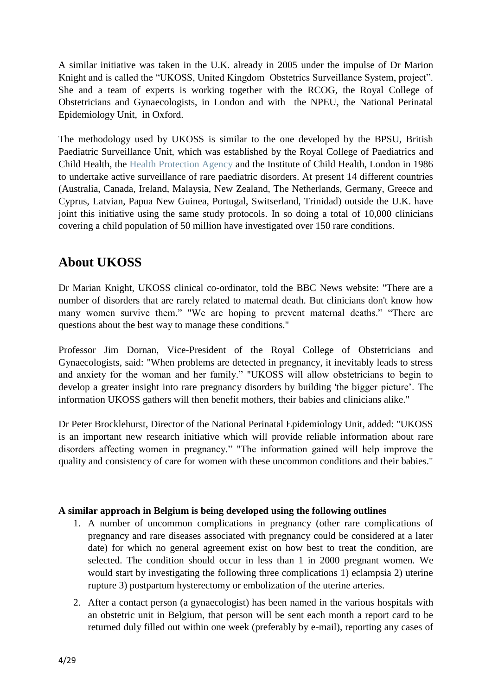A similar initiative was taken in the U.K. already in 2005 under the impulse of Dr Marion Knight and is called the "UKOSS, United Kingdom Obstetrics Surveillance System, project". She and a team of experts is working together with the RCOG, the Royal College of Obstetricians and Gynaecologists, in London and with the NPEU, the National Perinatal Epidemiology Unit, in Oxford.

The methodology used by UKOSS is similar to the one developed by the BPSU, British Paediatric Surveillance Unit, which was established by the Royal College of Paediatrics and Child Health, the [Health Protection Agency](http://www.hpa.org.uk/) and the Institute of Child Health, London in 1986 to undertake active surveillance of rare paediatric disorders. At present 14 different countries (Australia, Canada, Ireland, Malaysia, New Zealand, The Netherlands, Germany, Greece and Cyprus, Latvian, Papua New Guinea, Portugal, Switserland, Trinidad) outside the U.K. have joint this initiative using the same study protocols. In so doing a total of 10,000 clinicians covering a child population of 50 million have investigated over 150 rare conditions.

# **About UKOSS**

Dr Marian Knight, UKOSS clinical co-ordinator, told the BBC News website: "There are a number of disorders that are rarely related to maternal death. But clinicians don't know how many women survive them." "We are hoping to prevent maternal deaths." "There are questions about the best way to manage these conditions."

Professor Jim Dornan, Vice-President of the Royal College of Obstetricians and Gynaecologists, said: "When problems are detected in pregnancy, it inevitably leads to stress and anxiety for the woman and her family." "UKOSS will allow obstetricians to begin to develop a greater insight into rare pregnancy disorders by building 'the bigger picture'. The information UKOSS gathers will then benefit mothers, their babies and clinicians alike."

Dr Peter Brocklehurst, Director of the National Perinatal Epidemiology Unit, added: "UKOSS is an important new research initiative which will provide reliable information about rare disorders affecting women in pregnancy." "The information gained will help improve the quality and consistency of care for women with these uncommon conditions and their babies."

## **A similar approach in Belgium is being developed using the following outlines**

- 1. A number of uncommon complications in pregnancy (other rare complications of pregnancy and rare diseases associated with pregnancy could be considered at a later date) for which no general agreement exist on how best to treat the condition, are selected. The condition should occur in less than 1 in 2000 pregnant women. We would start by investigating the following three complications 1) eclampsia 2) uterine rupture 3) postpartum hysterectomy or embolization of the uterine arteries.
- 2. After a contact person (a gynaecologist) has been named in the various hospitals with an obstetric unit in Belgium, that person will be sent each month a report card to be returned duly filled out within one week (preferably by e-mail), reporting any cases of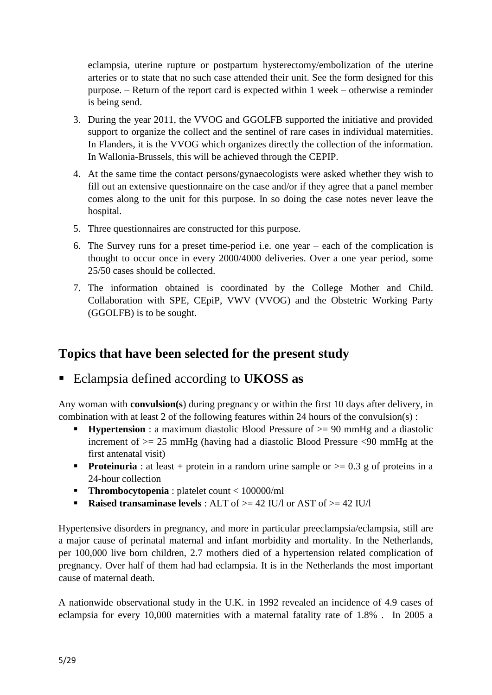eclampsia, uterine rupture or postpartum hysterectomy/embolization of the uterine arteries or to state that no such case attended their unit. See the form designed for this purpose. – Return of the report card is expected within 1 week – otherwise a reminder is being send.

- 3. During the year 2011, the VVOG and GGOLFB supported the initiative and provided support to organize the collect and the sentinel of rare cases in individual maternities. In Flanders, it is the VVOG which organizes directly the collection of the information. In Wallonia-Brussels, this will be achieved through the CEPIP.
- 4. At the same time the contact persons/gynaecologists were asked whether they wish to fill out an extensive questionnaire on the case and/or if they agree that a panel member comes along to the unit for this purpose. In so doing the case notes never leave the hospital.
- 5. Three questionnaires are constructed for this purpose.
- 6. The Survey runs for a preset time-period i.e. one year each of the complication is thought to occur once in every 2000/4000 deliveries. Over a one year period, some 25/50 cases should be collected.
- 7. The information obtained is coordinated by the College Mother and Child. Collaboration with SPE, CEpiP, VWV (VVOG) and the Obstetric Working Party (GGOLFB) is to be sought.

# **Topics that have been selected for the present study**

Eclampsia defined according to **UKOSS as**

Any woman with **convulsion(s**) during pregnancy or within the first 10 days after delivery, in combination with at least 2 of the following features within 24 hours of the convulsion(s) :

- **Hypertension** : a maximum diastolic Blood Pressure of  $\geq$  90 mmHg and a diastolic increment of >= 25 mmHg (having had a diastolic Blood Pressure <90 mmHg at the first antenatal visit)
- **Proteinuria**: at least + protein in a random urine sample or  $\geq$  0.3 g of proteins in a 24-hour collection
- **Thrombocytopenia** : platelet count < 100000/ml
- **Raised transaminase levels** : ALT of  $\geq$  42 IU/l or AST of  $\geq$  42 IU/l

Hypertensive disorders in pregnancy, and more in particular preeclampsia/eclampsia, still are a major cause of perinatal maternal and infant morbidity and mortality. In the Netherlands, per 100,000 live born children, 2.7 mothers died of a hypertension related complication of pregnancy. Over half of them had had eclampsia. It is in the Netherlands the most important cause of maternal death.

A nationwide observational study in the U.K. in 1992 revealed an incidence of 4.9 cases of eclampsia for every 10,000 maternities with a maternal fatality rate of 1.8% . In 2005 a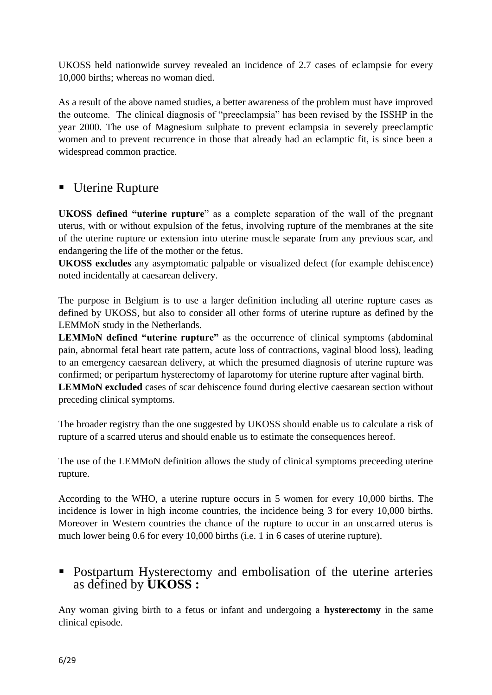UKOSS held nationwide survey revealed an incidence of 2.7 cases of eclampsie for every 10,000 births; whereas no woman died.

As a result of the above named studies, a better awareness of the problem must have improved the outcome. The clinical diagnosis of "preeclampsia" has been revised by the ISSHP in the year 2000. The use of Magnesium sulphate to prevent eclampsia in severely preeclamptic women and to prevent recurrence in those that already had an eclamptic fit, is since been a widespread common practice.

# ■ Uterine Rupture

**UKOSS defined "uterine rupture**" as a complete separation of the wall of the pregnant uterus, with or without expulsion of the fetus, involving rupture of the membranes at the site of the uterine rupture or extension into uterine muscle separate from any previous scar, and endangering the life of the mother or the fetus.

**UKOSS excludes** any asymptomatic palpable or visualized defect (for example dehiscence) noted incidentally at caesarean delivery.

The purpose in Belgium is to use a larger definition including all uterine rupture cases as defined by UKOSS, but also to consider all other forms of uterine rupture as defined by the LEMMoN study in the Netherlands.

**LEMMoN defined "uterine rupture"** as the occurrence of clinical symptoms (abdominal pain, abnormal fetal heart rate pattern, acute loss of contractions, vaginal blood loss), leading to an emergency caesarean delivery, at which the presumed diagnosis of uterine rupture was confirmed; or peripartum hysterectomy of laparotomy for uterine rupture after vaginal birth.

**LEMMoN excluded** cases of scar dehiscence found during elective caesarean section without preceding clinical symptoms.

The broader registry than the one suggested by UKOSS should enable us to calculate a risk of rupture of a scarred uterus and should enable us to estimate the consequences hereof.

The use of the LEMMoN definition allows the study of clinical symptoms preceeding uterine rupture.

According to the WHO, a uterine rupture occurs in 5 women for every 10,000 births. The incidence is lower in high income countries, the incidence being 3 for every 10,000 births. Moreover in Western countries the chance of the rupture to occur in an unscarred uterus is much lower being 0.6 for every 10,000 births (i.e. 1 in 6 cases of uterine rupture).

# Postpartum Hysterectomy and embolisation of the uterine arteries as defined by **UKOSS :**

Any woman giving birth to a fetus or infant and undergoing a **hysterectomy** in the same clinical episode.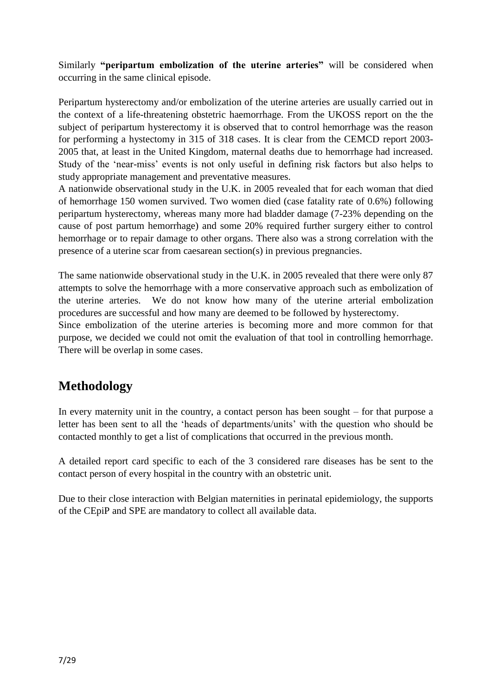Similarly **"peripartum embolization of the uterine arteries"** will be considered when occurring in the same clinical episode.

Peripartum hysterectomy and/or embolization of the uterine arteries are usually carried out in the context of a life-threatening obstetric haemorrhage. From the UKOSS report on the the subject of peripartum hysterectomy it is observed that to control hemorrhage was the reason for performing a hystectomy in 315 of 318 cases. It is clear from the CEMCD report 2003- 2005 that, at least in the United Kingdom, maternal deaths due to hemorrhage had increased. Study of the 'near-miss' events is not only useful in defining risk factors but also helps to study appropriate management and preventative measures.

A nationwide observational study in the U.K. in 2005 revealed that for each woman that died of hemorrhage 150 women survived. Two women died (case fatality rate of 0.6%) following peripartum hysterectomy, whereas many more had bladder damage (7-23% depending on the cause of post partum hemorrhage) and some 20% required further surgery either to control hemorrhage or to repair damage to other organs. There also was a strong correlation with the presence of a uterine scar from caesarean section(s) in previous pregnancies.

The same nationwide observational study in the U.K. in 2005 revealed that there were only 87 attempts to solve the hemorrhage with a more conservative approach such as embolization of the uterine arteries. We do not know how many of the uterine arterial embolization procedures are successful and how many are deemed to be followed by hysterectomy.

Since embolization of the uterine arteries is becoming more and more common for that purpose, we decided we could not omit the evaluation of that tool in controlling hemorrhage. There will be overlap in some cases.

# **Methodology**

In every maternity unit in the country, a contact person has been sought – for that purpose a letter has been sent to all the 'heads of departments/units' with the question who should be contacted monthly to get a list of complications that occurred in the previous month.

A detailed report card specific to each of the 3 considered rare diseases has be sent to the contact person of every hospital in the country with an obstetric unit.

Due to their close interaction with Belgian maternities in perinatal epidemiology, the supports of the CEpiP and SPE are mandatory to collect all available data.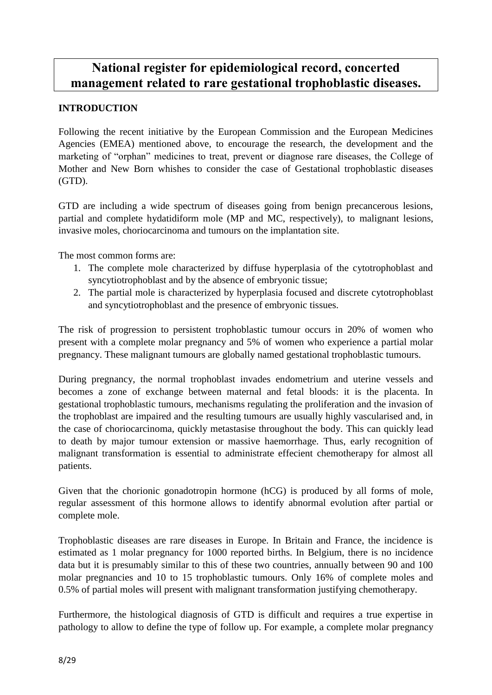# **National register for epidemiological record, concerted management related to rare gestational trophoblastic diseases.**

## **INTRODUCTION**

Following the recent initiative by the European Commission and the European Medicines Agencies (EMEA) mentioned above, to encourage the research, the development and the marketing of "orphan" medicines to treat, prevent or diagnose rare diseases, the College of Mother and New Born whishes to consider the case of Gestational trophoblastic diseases (GTD).

GTD are including a wide spectrum of diseases going from benign precancerous lesions, partial and complete hydatidiform mole (MP and MC, respectively), to malignant lesions, invasive moles, choriocarcinoma and tumours on the implantation site.

The most common forms are:

- 1. The complete mole characterized by diffuse hyperplasia of the cytotrophoblast and syncytiotrophoblast and by the absence of embryonic tissue;
- 2. The partial mole is characterized by hyperplasia focused and discrete cytotrophoblast and syncytiotrophoblast and the presence of embryonic tissues.

The risk of progression to persistent trophoblastic tumour occurs in 20% of women who present with a complete molar pregnancy and 5% of women who experience a partial molar pregnancy. These malignant tumours are globally named gestational trophoblastic tumours.

During pregnancy, the normal trophoblast invades endometrium and uterine vessels and becomes a zone of exchange between maternal and fetal bloods: it is the placenta. In gestational trophoblastic tumours, mechanisms regulating the proliferation and the invasion of the trophoblast are impaired and the resulting tumours are usually highly vascularised and, in the case of choriocarcinoma, quickly metastasise throughout the body. This can quickly lead to death by major tumour extension or massive haemorrhage. Thus, early recognition of malignant transformation is essential to administrate effecient chemotherapy for almost all patients.

Given that the chorionic gonadotropin hormone (hCG) is produced by all forms of mole, regular assessment of this hormone allows to identify abnormal evolution after partial or complete mole.

Trophoblastic diseases are rare diseases in Europe. In Britain and France, the incidence is estimated as 1 molar pregnancy for 1000 reported births. In Belgium, there is no incidence data but it is presumably similar to this of these two countries, annually between 90 and 100 molar pregnancies and 10 to 15 trophoblastic tumours. Only 16% of complete moles and 0.5% of partial moles will present with malignant transformation justifying chemotherapy.

Furthermore, the histological diagnosis of GTD is difficult and requires a true expertise in pathology to allow to define the type of follow up. For example, a complete molar pregnancy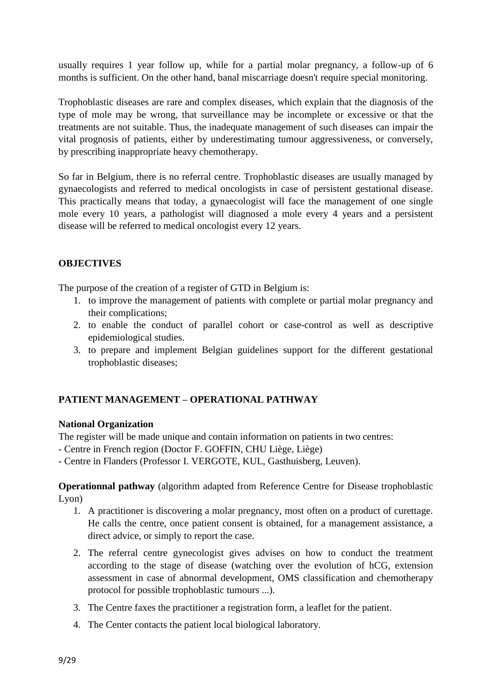usually requires 1 year follow up, while for a partial molar pregnancy, a follow-up of 6 months is sufficient. On the other hand, banal miscarriage doesn't require special monitoring.

Trophoblastic diseases are rare and complex diseases, which explain that the diagnosis of the type of mole may be wrong, that surveillance may be incomplete or excessive or that the treatments are not suitable. Thus, the inadequate management of such diseases can impair the vital prognosis of patients, either by underestimating tumour aggressiveness, or conversely, by prescribing inappropriate heavy chemotherapy.

So far in Belgium, there is no referral centre. Trophoblastic diseases are usually managed by gynaecologists and referred to medical oncologists in case of persistent gestational disease. This practically means that today, a gynaecologist will face the management of one single mole every 10 years, a pathologist will diagnosed a mole every 4 years and a persistent disease will be referred to medical oncologist every 12 years.

# **OBJECTIVES**

The purpose of the creation of a register of GTD in Belgium is:

- 1. to improve the management of patients with complete or partial molar pregnancy and their complications;
- 2. to enable the conduct of parallel cohort or case-control as well as descriptive epidemiological studies.
- 3. to prepare and implement Belgian guidelines support for the different gestational trophoblastic diseases;

## **PATIENT MANAGEMENT – OPERATIONAL PATHWAY**

## **National Organization**

The register will be made unique and contain information on patients in two centres:

- Centre in French region (Doctor F. GOFFIN, CHU Liège, Liège)
- Centre in Flanders (Professor I. VERGOTE, KUL, Gasthuisberg, Leuven).

**Operationnal pathway** (algorithm adapted from Reference Centre for Disease trophoblastic Lyon)

- 1. A practitioner is discovering a molar pregnancy, most often on a product of curettage. He calls the centre, once patient consent is obtained, for a management assistance, a direct advice, or simply to report the case.
- 2. The referral centre gynecologist gives advises on how to conduct the treatment according to the stage of disease (watching over the evolution of hCG, extension assessment in case of abnormal development, OMS classification and chemotherapy protocol for possible trophoblastic tumours ...).
- 3. The Centre faxes the practitioner a registration form, a leaflet for the patient.
- 4. The Center contacts the patient local biological laboratory.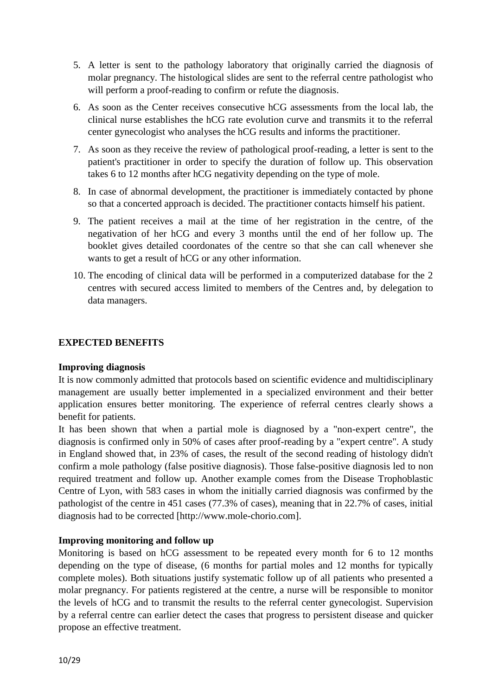- 5. A letter is sent to the pathology laboratory that originally carried the diagnosis of molar pregnancy. The histological slides are sent to the referral centre pathologist who will perform a proof-reading to confirm or refute the diagnosis.
- 6. As soon as the Center receives consecutive hCG assessments from the local lab, the clinical nurse establishes the hCG rate evolution curve and transmits it to the referral center gynecologist who analyses the hCG results and informs the practitioner.
- 7. As soon as they receive the review of pathological proof-reading, a letter is sent to the patient's practitioner in order to specify the duration of follow up. This observation takes 6 to 12 months after hCG negativity depending on the type of mole.
- 8. In case of abnormal development, the practitioner is immediately contacted by phone so that a concerted approach is decided. The practitioner contacts himself his patient.
- 9. The patient receives a mail at the time of her registration in the centre, of the negativation of her hCG and every 3 months until the end of her follow up. The booklet gives detailed coordonates of the centre so that she can call whenever she wants to get a result of hCG or any other information.
- 10. The encoding of clinical data will be performed in a computerized database for the 2 centres with secured access limited to members of the Centres and, by delegation to data managers.

## **EXPECTED BENEFITS**

## **Improving diagnosis**

It is now commonly admitted that protocols based on scientific evidence and multidisciplinary management are usually better implemented in a specialized environment and their better application ensures better monitoring. The experience of referral centres clearly shows a benefit for patients.

It has been shown that when a partial mole is diagnosed by a "non-expert centre", the diagnosis is confirmed only in 50% of cases after proof-reading by a "expert centre". A study in England showed that, in 23% of cases, the result of the second reading of histology didn't confirm a mole pathology (false positive diagnosis). Those false-positive diagnosis led to non required treatment and follow up. Another example comes from the Disease Trophoblastic Centre of Lyon, with 583 cases in whom the initially carried diagnosis was confirmed by the pathologist of the centre in 451 cases (77.3% of cases), meaning that in 22.7% of cases, initial diagnosis had to be corrected [http://www.mole-chorio.com].

## **Improving monitoring and follow up**

Monitoring is based on hCG assessment to be repeated every month for 6 to 12 months depending on the type of disease, (6 months for partial moles and 12 months for typically complete moles). Both situations justify systematic follow up of all patients who presented a molar pregnancy. For patients registered at the centre, a nurse will be responsible to monitor the levels of hCG and to transmit the results to the referral center gynecologist. Supervision by a referral centre can earlier detect the cases that progress to persistent disease and quicker propose an effective treatment.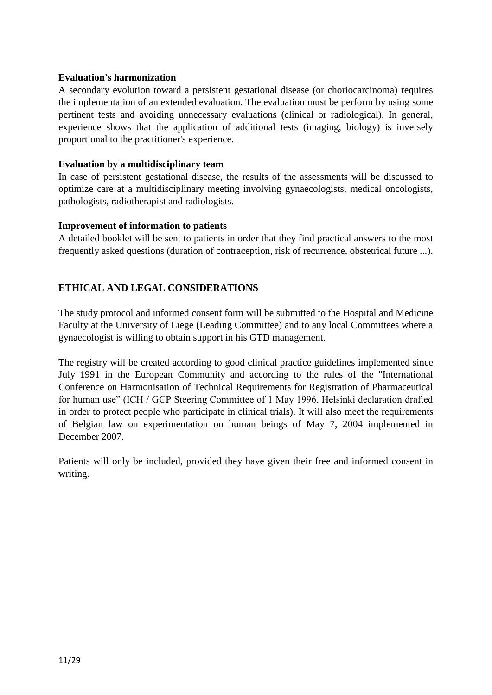#### **Evaluation's harmonization**

A secondary evolution toward a persistent gestational disease (or choriocarcinoma) requires the implementation of an extended evaluation. The evaluation must be perform by using some pertinent tests and avoiding unnecessary evaluations (clinical or radiological). In general, experience shows that the application of additional tests (imaging, biology) is inversely proportional to the practitioner's experience.

#### **Evaluation by a multidisciplinary team**

In case of persistent gestational disease, the results of the assessments will be discussed to optimize care at a multidisciplinary meeting involving gynaecologists, medical oncologists, pathologists, radiotherapist and radiologists.

#### **Improvement of information to patients**

A detailed booklet will be sent to patients in order that they find practical answers to the most frequently asked questions (duration of contraception, risk of recurrence, obstetrical future ...).

## **ETHICAL AND LEGAL CONSIDERATIONS**

The study protocol and informed consent form will be submitted to the Hospital and Medicine Faculty at the University of Liege (Leading Committee) and to any local Committees where a gynaecologist is willing to obtain support in his GTD management.

The registry will be created according to good clinical practice guidelines implemented since July 1991 in the European Community and according to the rules of the "International Conference on Harmonisation of Technical Requirements for Registration of Pharmaceutical for human use" (ICH / GCP Steering Committee of 1 May 1996, Helsinki declaration drafted in order to protect people who participate in clinical trials). It will also meet the requirements of Belgian law on experimentation on human beings of May 7, 2004 implemented in December 2007.

Patients will only be included, provided they have given their free and informed consent in writing.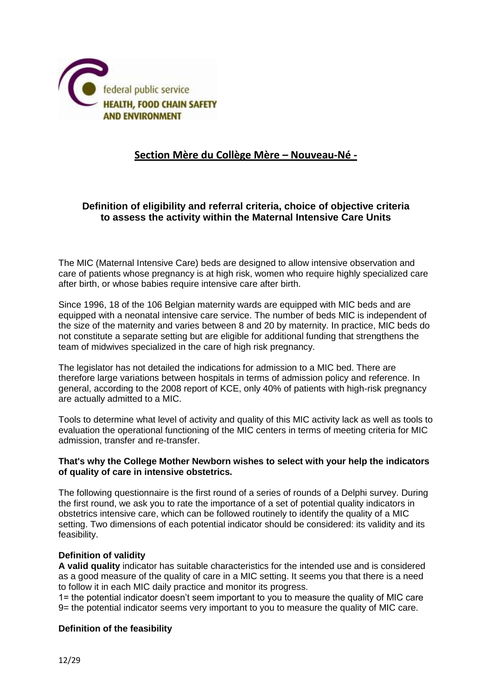

# **Section Mère du Collège Mère – Nouveau-Né -**

## **Definition of eligibility and referral criteria, choice of objective criteria to assess the activity within the Maternal Intensive Care Units**

The MIC (Maternal Intensive Care) beds are designed to allow intensive observation and care of patients whose pregnancy is at high risk, women who require highly specialized care after birth, or whose babies require intensive care after birth.

Since 1996, 18 of the 106 Belgian maternity wards are equipped with MIC beds and are equipped with a neonatal intensive care service. The number of beds MIC is independent of the size of the maternity and varies between 8 and 20 by maternity. In practice, MIC beds do not constitute a separate setting but are eligible for additional funding that strengthens the team of midwives specialized in the care of high risk pregnancy.

The legislator has not detailed the indications for admission to a MIC bed. There are therefore large variations between hospitals in terms of admission policy and reference. In general, according to the 2008 report of KCE, only 40% of patients with high-risk pregnancy are actually admitted to a MIC.

Tools to determine what level of activity and quality of this MIC activity lack as well as tools to evaluation the operational functioning of the MIC centers in terms of meeting criteria for MIC admission, transfer and re-transfer.

#### **That's why the College Mother Newborn wishes to select with your help the indicators of quality of care in intensive obstetrics.**

The following questionnaire is the first round of a series of rounds of a Delphi survey. During the first round, we ask you to rate the importance of a set of potential quality indicators in obstetrics intensive care, which can be followed routinely to identify the quality of a MIC setting. Two dimensions of each potential indicator should be considered: its validity and its feasibility.

#### **Definition of validity**

**A valid quality** indicator has suitable characteristics for the intended use and is considered as a good measure of the quality of care in a MIC setting. It seems you that there is a need to follow it in each MIC daily practice and monitor its progress.

1= the potential indicator doesn't seem important to you to measure the quality of MIC care 9= the potential indicator seems very important to you to measure the quality of MIC care.

#### **Definition of the feasibility**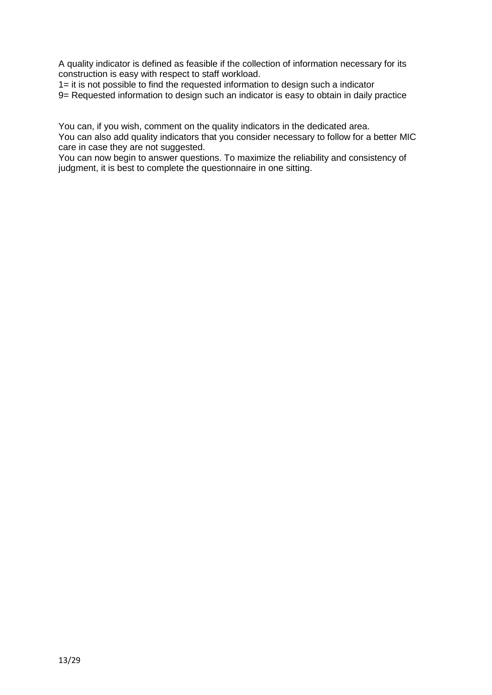A quality indicator is defined as feasible if the collection of information necessary for its construction is easy with respect to staff workload.

1= it is not possible to find the requested information to design such a indicator 9= Requested information to design such an indicator is easy to obtain in daily practice

You can, if you wish, comment on the quality indicators in the dedicated area. You can also add quality indicators that you consider necessary to follow for a better MIC care in case they are not suggested.

You can now begin to answer questions. To maximize the reliability and consistency of judgment, it is best to complete the questionnaire in one sitting.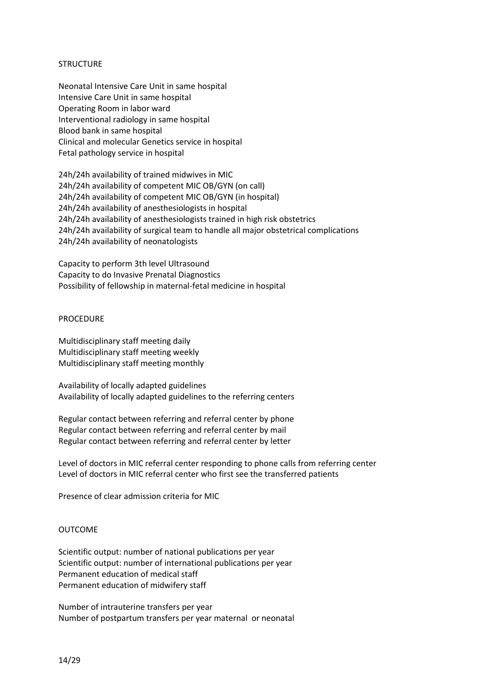#### **STRUCTURE**

Neonatal Intensive Care Unit in same hospital Intensive Care Unit in same hospital Operating Room in labor ward Interventional radiology in same hospital Blood bank in same hospital Clinical and molecular Genetics service in hospital Fetal pathology service in hospital

24h/24h availability of trained midwives in MIC 24h/24h availability of competent MIC OB/GYN (on call) 24h/24h availability of competent MIC OB/GYN (in hospital) 24h/24h availability of anesthesiologists in hospital 24h/24h availability of anesthesiologists trained in high risk obstetrics 24h/24h availability of surgical team to handle all major obstetrical complications 24h/24h availability of neonatologists

Capacity to perform 3th level Ultrasound Capacity to do Invasive Prenatal Diagnostics Possibility of fellowship in maternal-fetal medicine in hospital

#### PROCEDURE

Multidisciplinary staff meeting daily Multidisciplinary staff meeting weekly Multidisciplinary staff meeting monthly

Availability of locally adapted guidelines Availability of locally adapted guidelines to the referring centers

Regular contact between referring and referral center by phone Regular contact between referring and referral center by mail Regular contact between referring and referral center by letter

Level of doctors in MIC referral center responding to phone calls from referring center Level of doctors in MIC referral center who first see the transferred patients

Presence of clear admission criteria for MIC

#### OUTCOME

Scientific output: number of national publications per year Scientific output: number of international publications per year Permanent education of medical staff Permanent education of midwifery staff

Number of intrauterine transfers per year Number of postpartum transfers per year maternal or neonatal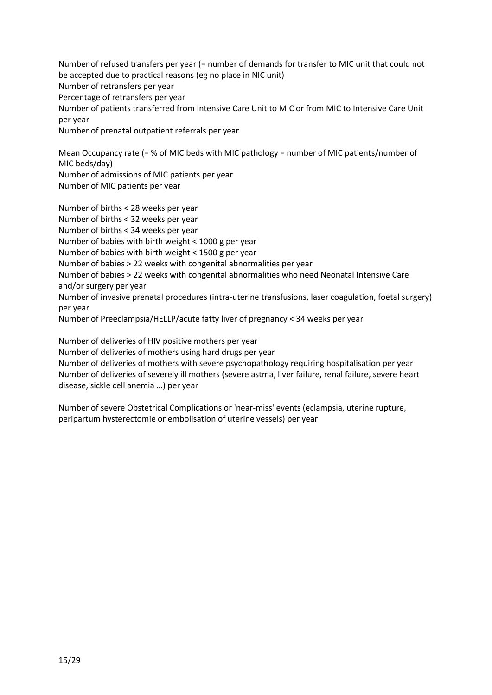Number of refused transfers per year (= number of demands for transfer to MIC unit that could not be accepted due to practical reasons (eg no place in NIC unit) Number of retransfers per year Percentage of retransfers per year Number of patients transferred from Intensive Care Unit to MIC or from MIC to Intensive Care Unit per year Number of prenatal outpatient referrals per year

Mean Occupancy rate (= % of MIC beds with MIC pathology = number of MIC patients/number of MIC beds/day) Number of admissions of MIC patients per year Number of MIC patients per year

Number of births < 28 weeks per year Number of births < 32 weeks per year Number of births < 34 weeks per year Number of babies with birth weight < 1000 g per year Number of babies with birth weight < 1500 g per year Number of babies > 22 weeks with congenital abnormalities per year Number of babies > 22 weeks with congenital abnormalities who need Neonatal Intensive Care and/or surgery per year Number of invasive prenatal procedures (intra-uterine transfusions, laser coagulation, foetal surgery) per year Number of Preeclampsia/HELLP/acute fatty liver of pregnancy < 34 weeks per year

Number of deliveries of HIV positive mothers per year Number of deliveries of mothers using hard drugs per year Number of deliveries of mothers with severe psychopathology requiring hospitalisation per year Number of deliveries of severely ill mothers (severe astma, liver failure, renal failure, severe heart disease, sickle cell anemia …) per year

Number of severe Obstetrical Complications or 'near-miss' events (eclampsia, uterine rupture, peripartum hysterectomie or embolisation of uterine vessels) per year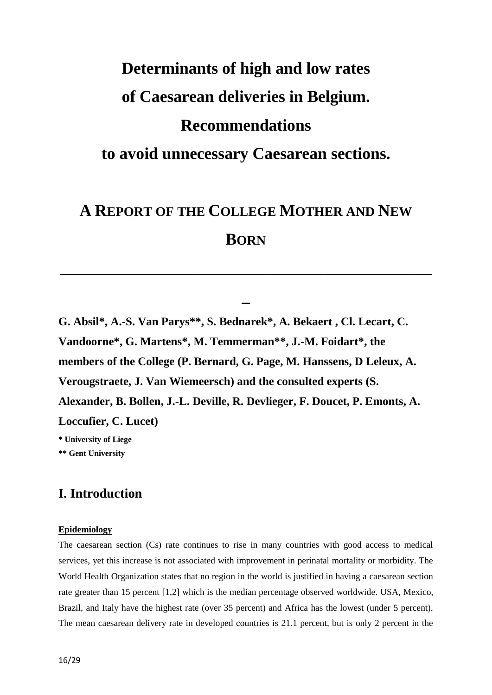# **Determinants of high and low rates of Caesarean deliveries in Belgium. Recommendations to avoid unnecessary Caesarean sections.**

# **A REPORT OF THE COLLEGE MOTHER AND NEW BORN**

**\_\_\_\_\_\_\_\_\_\_\_\_\_\_\_\_\_\_\_\_\_\_\_\_\_\_\_\_\_\_\_\_\_\_\_\_\_\_\_\_\_\_\_\_\_**

**\_**

**G. Absil\*, A.-S. Van Parys\*\*, S. Bednarek\*, A. Bekaert , Cl. Lecart, C. Vandoorne\*, G. Martens\*, M. Temmerman\*\*, J.-M. Foidart\*, the members of the College (P. Bernard, G. Page, M. Hanssens, D Leleux, A. Verougstraete, J. Van Wiemeersch) and the consulted experts (S. Alexander, B. Bollen, J.-L. Deville, R. Devlieger, F. Doucet, P. Emonts, A. Loccufier, C. Lucet) \* University of Liege**

**\*\* Gent University**

# **I. Introduction**

#### **Epidemiology**

The caesarean section (Cs) rate continues to rise in many countries with good access to medical services, yet this increase is not associated with improvement in perinatal mortality or morbidity. The World Health Organization states that no region in the world is justified in having a caesarean section rate greater than 15 percent [1,2] which is the median percentage observed worldwide. USA, Mexico, Brazil, and Italy have the highest rate (over 35 percent) and Africa has the lowest (under 5 percent). The mean caesarean delivery rate in developed countries is 21.1 percent, but is only 2 percent in the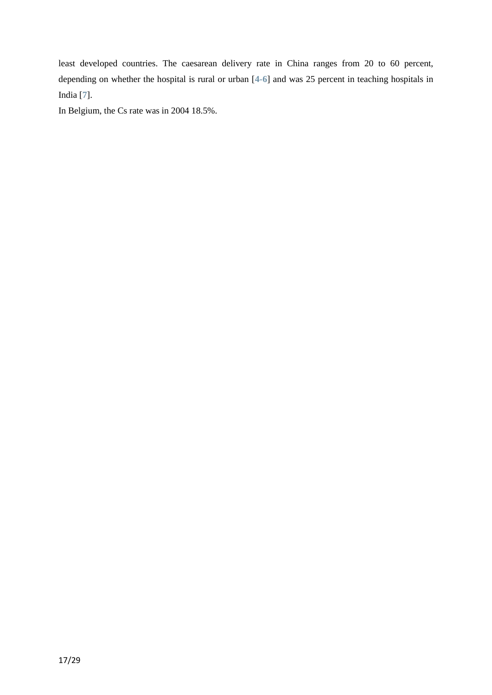least developed countries. The caesarean delivery rate in China ranges from 20 to 60 percent, depending on whether the hospital is rural or urban [**[4-6](https://vpn.gw.ulg.ac.be/contents/cesarean-delivery-preoperative-issues/abstract/,DanaInfo=www.uptodate.com+4-6)**] and was 25 percent in teaching hospitals in India [**[7](https://vpn.gw.ulg.ac.be/contents/cesarean-delivery-preoperative-issues/abstract/,DanaInfo=www.uptodate.com+7)**].

In Belgium, the Cs rate was in 2004 18.5%.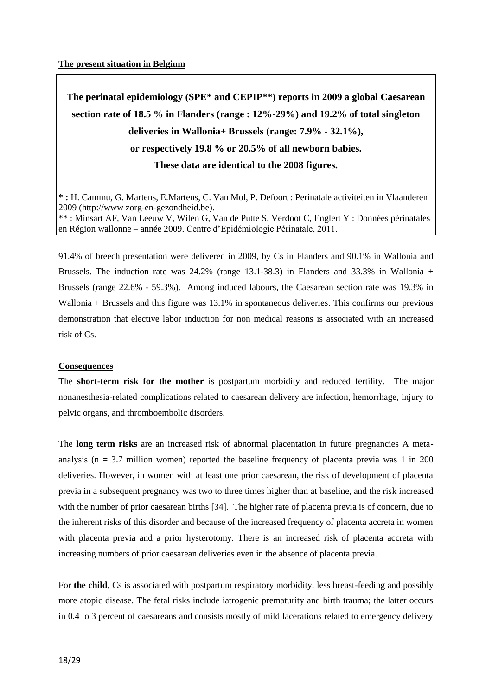**The perinatal epidemiology (SPE\* and CEPIP\*\*) reports in 2009 a global Caesarean section rate of 18.5 % in Flanders (range : 12%-29%) and 19.2% of total singleton deliveries in Wallonia+ Brussels (range: 7.9% - 32.1%), or respectively 19.8 % or 20.5% of all newborn babies. These data are identical to the 2008 figures.**

**\* :** H. Cammu, G. Martens, E.Martens, C. Van Mol, P. Defoort : Perinatale activiteiten in Vlaanderen 2009 (http://www zorg-en-gezondheid.be). \*\* : Minsart AF, Van Leeuw V, Wilen G, Van de Putte S, Verdoot C, Englert Y : Données périnatales en Région wallonne – année 2009. Centre d'Epidémiologie Périnatale, 2011.

91.4% of breech presentation were delivered in 2009, by Cs in Flanders and 90.1% in Wallonia and Brussels. The induction rate was 24.2% (range 13.1-38.3) in Flanders and 33.3% in Wallonia + Brussels (range 22.6% - 59.3%). Among induced labours, the Caesarean section rate was 19.3% in Wallonia + Brussels and this figure was 13.1% in spontaneous deliveries. This confirms our previous demonstration that elective labor induction for non medical reasons is associated with an increased risk of Cs.

#### **Consequences**

The **short-term risk for the mother** is postpartum morbidity and reduced fertility. The major nonanesthesia-related complications related to caesarean delivery are infection, hemorrhage, injury to pelvic organs, and thromboembolic disorders.

The **long term risks** are an increased risk of abnormal placentation in future pregnancies A metaanalysis ( $n = 3.7$  million women) reported the baseline frequency of placenta previa was 1 in 200 deliveries. However, in women with at least one prior caesarean, the risk of development of placenta previa in a subsequent pregnancy was two to three times higher than at baseline, and the risk increased with the number of prior caesarean births [34]. The higher rate of placenta previa is of concern, due to the inherent risks of this disorder and because of the increased frequency of placenta accreta in women with placenta previa and a prior hysterotomy. There is an increased risk of placenta accreta with increasing numbers of prior caesarean deliveries even in the absence of placenta previa.

For **the child**, Cs is associated with postpartum respiratory morbidity, less breast-feeding and possibly more atopic disease. The fetal risks include iatrogenic prematurity and birth trauma; the latter occurs in 0.4 to 3 percent of caesareans and consists mostly of mild lacerations related to emergency delivery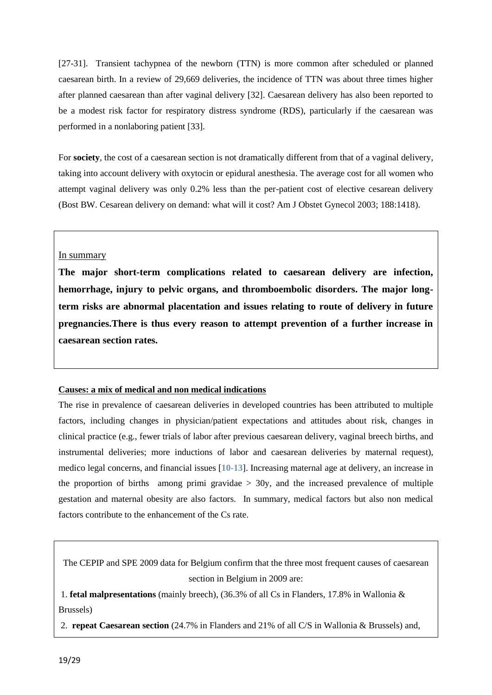[27-31]. Transient tachypnea of the newborn (TTN) is more common after scheduled or planned caesarean birth. In a review of 29,669 deliveries, the incidence of TTN was about three times higher after planned caesarean than after vaginal delivery [32]. Caesarean delivery has also been reported to be a modest risk factor for respiratory distress syndrome (RDS), particularly if the caesarean was performed in a nonlaboring patient [33].

For **society**, the cost of a caesarean section is not dramatically different from that of a vaginal delivery, taking into account delivery with oxytocin or epidural anesthesia. The average cost for all women who attempt vaginal delivery was only 0.2% less than the per-patient cost of elective cesarean delivery [\(Bost BW. Cesarean delivery on demand: what will it cost? Am J Obstet Gynecol 2003; 188:1418\).](https://vpn.gw.ulg.ac.be/contents/cesarean-delivery-on-maternal-request/abstract/,DanaInfo=www.uptodate.com+14)

#### In summary

**The major short-term complications related to caesarean delivery are infection, hemorrhage, injury to pelvic organs, and thromboembolic disorders. The major longterm risks are abnormal placentation and issues relating to route of delivery in future pregnancies.There is thus every reason to attempt prevention of a further increase in caesarean section rates.**

#### **Causes: a mix of medical and non medical indications**

The rise in prevalence of caesarean deliveries in developed countries has been attributed to multiple factors, including changes in physician/patient expectations and attitudes about risk, changes in clinical practice (e.g., fewer trials of labor after previous caesarean delivery, vaginal breech births, and instrumental deliveries; more inductions of labor and caesarean deliveries by maternal request), medico legal concerns, and financial issues [**[10-13](https://vpn.gw.ulg.ac.be/contents/cesarean-delivery-preoperative-issues/abstract/,DanaInfo=www.uptodate.com+10-13)**]. Increasing maternal age at delivery, an increase in the proportion of births among primi gravidae  $> 30y$ , and the increased prevalence of multiple gestation and maternal obesity are also factors. In summary, medical factors but also non medical factors contribute to the enhancement of the Cs rate.

The CEPIP and SPE 2009 data for Belgium confirm that the three most frequent causes of caesarean section in Belgium in 2009 are:

1. **fetal malpresentations** (mainly breech), (36.3% of all Cs in Flanders, 17.8% in Wallonia & Brussels)

2. **repeat Caesarean section** (24.7% in Flanders and 21% of all C/S in Wallonia & Brussels) and,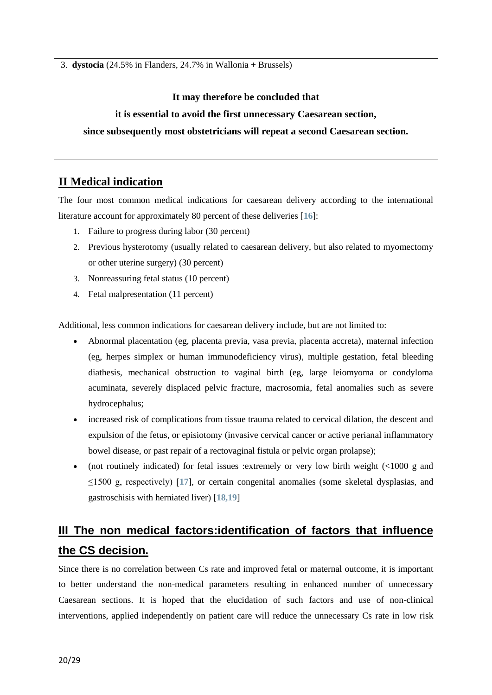3. **dystocia** (24.5% in Flanders, 24.7% in Wallonia + Brussels)

#### **It may therefore be concluded that**

#### **it is essential to avoid the first unnecessary Caesarean section,**

#### **since subsequently most obstetricians will repeat a second Caesarean section.**

# **II Medical indication**

The four most common medical indications for caesarean delivery according to the international literature account for approximately 80 percent of these deliveries [**[16](https://vpn.gw.ulg.ac.be/contents/cesarean-delivery-preoperative-issues/abstract/,DanaInfo=www.uptodate.com+16)**]:

- 1. Failure to progress during labor (30 percent)
- 2. Previous hysterotomy (usually related to caesarean delivery, but also related to myomectomy or other uterine surgery) (30 percent)
- 3. Nonreassuring fetal status (10 percent)
- 4. Fetal malpresentation (11 percent)

Additional, less common indications for caesarean delivery include, but are not limited to:

- Abnormal placentation (eg, placenta previa, vasa previa, placenta accreta), maternal infection (eg, herpes simplex or human immunodeficiency virus), multiple gestation, fetal bleeding diathesis, mechanical obstruction to vaginal birth (eg, large leiomyoma or condyloma acuminata, severely displaced pelvic fracture, macrosomia, fetal anomalies such as severe hydrocephalus;
- increased risk of complications from tissue trauma related to cervical dilation, the descent and expulsion of the fetus, or episiotomy (invasive cervical cancer or active perianal inflammatory bowel disease, or past repair of a rectovaginal fistula or pelvic organ prolapse);
- (not routinely indicated) for fetal issues :extremely or very low birth weight  $\ll 1000$  g and ≤1500 g, respectively) [**[17](https://vpn.gw.ulg.ac.be/contents/cesarean-delivery-preoperative-issues/abstract/,DanaInfo=www.uptodate.com+17)**], or certain congenital anomalies (some skeletal dysplasias, and gastroschisis with herniated liver) [**[18,19](https://vpn.gw.ulg.ac.be/contents/cesarean-delivery-preoperative-issues/abstract/,DanaInfo=www.uptodate.com+18,19)**]

# **III The non medical factors:identification of factors that influence the CS decision.**

Since there is no correlation between Cs rate and improved fetal or maternal outcome, it is important to better understand the non-medical parameters resulting in enhanced number of unnecessary Caesarean sections. It is hoped that the elucidation of such factors and use of non-clinical interventions, applied independently on patient care will reduce the unnecessary Cs rate in low risk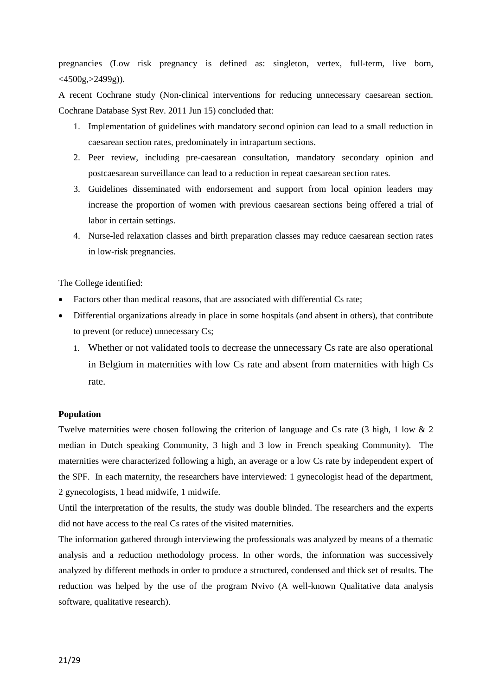pregnancies (Low risk pregnancy is defined as: singleton, vertex, full-term, live born,  $<$ 4500g, $>$ 2499g)).

A recent Cochrane study (Non-clinical interventions for reducing unnecessary caesarean section. [Cochrane Database Syst](https://vpn.gw.ulg.ac.be/pubmed/,DanaInfo=www.ncbi.nlm.nih.gov+21678348) Rev. 2011 Jun 15) concluded that:

- 1. Implementation of guidelines with mandatory second opinion can lead to a small reduction in caesarean section rates, predominately in intrapartum sections.
- 2. Peer review, including pre-caesarean consultation, mandatory secondary opinion and postcaesarean surveillance can lead to a reduction in repeat caesarean section rates.
- 3. Guidelines disseminated with endorsement and support from local opinion leaders may increase the proportion of women with previous caesarean sections being offered a trial of labor in certain settings.
- 4. Nurse-led relaxation classes and birth preparation classes may reduce caesarean section rates in low-risk pregnancies.

The College identified:

- Factors other than medical reasons, that are associated with differential Cs rate;
- Differential organizations already in place in some hospitals (and absent in others), that contribute to prevent (or reduce) unnecessary Cs;
	- 1. Whether or not validated tools to decrease the unnecessary Cs rate are also operational in Belgium in maternities with low Cs rate and absent from maternities with high Cs rate.

#### **Population**

Twelve maternities were chosen following the criterion of language and Cs rate (3 high, 1 low & 2 median in Dutch speaking Community, 3 high and 3 low in French speaking Community). The maternities were characterized following a high, an average or a low Cs rate by independent expert of the SPF. In each maternity, the researchers have interviewed: 1 gynecologist head of the department, 2 gynecologists, 1 head midwife, 1 midwife.

Until the interpretation of the results, the study was double blinded. The researchers and the experts did not have access to the real Cs rates of the visited maternities.

The information gathered through interviewing the professionals was analyzed by means of a thematic analysis and a reduction methodology process. In other words, the information was successively analyzed by different methods in order to produce a structured, condensed and thick set of results. The reduction was helped by the use of the program Nvivo (A well-known Qualitative data analysis software, qualitative research).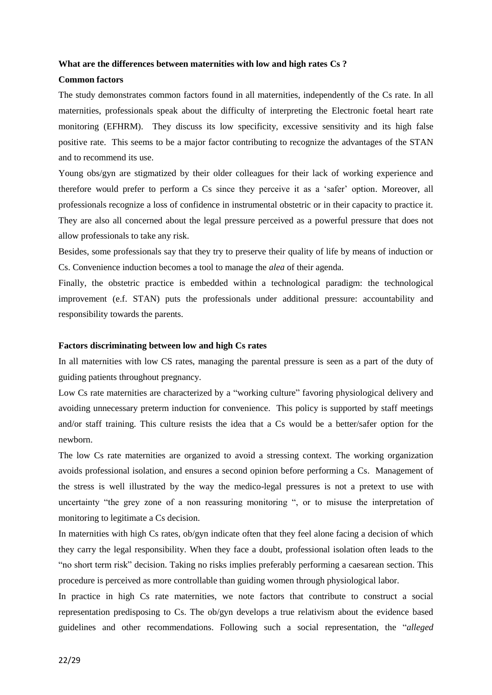#### **What are the differences between maternities with low and high rates Cs ?**

#### **Common factors**

The study demonstrates common factors found in all maternities, independently of the Cs rate. In all maternities, professionals speak about the difficulty of interpreting the Electronic foetal heart rate monitoring (EFHRM). They discuss its low specificity, excessive sensitivity and its high false positive rate. This seems to be a major factor contributing to recognize the advantages of the STAN and to recommend its use.

Young obs/gyn are stigmatized by their older colleagues for their lack of working experience and therefore would prefer to perform a Cs since they perceive it as a 'safer' option. Moreover, all professionals recognize a loss of confidence in instrumental obstetric or in their capacity to practice it. They are also all concerned about the legal pressure perceived as a powerful pressure that does not allow professionals to take any risk.

Besides, some professionals say that they try to preserve their quality of life by means of induction or Cs. Convenience induction becomes a tool to manage the *alea* of their agenda.

Finally, the obstetric practice is embedded within a technological paradigm: the technological improvement (e.f. STAN) puts the professionals under additional pressure: accountability and responsibility towards the parents.

#### **Factors discriminating between low and high Cs rates**

In all maternities with low CS rates, managing the parental pressure is seen as a part of the duty of guiding patients throughout pregnancy.

Low Cs rate maternities are characterized by a "working culture" favoring physiological delivery and avoiding unnecessary preterm induction for convenience. This policy is supported by staff meetings and/or staff training. This culture resists the idea that a Cs would be a better/safer option for the newborn.

The low Cs rate maternities are organized to avoid a stressing context. The working organization avoids professional isolation, and ensures a second opinion before performing a Cs. Management of the stress is well illustrated by the way the medico-legal pressures is not a pretext to use with uncertainty "the grey zone of a non reassuring monitoring ", or to misuse the interpretation of monitoring to legitimate a Cs decision.

In maternities with high Cs rates, ob/gyn indicate often that they feel alone facing a decision of which they carry the legal responsibility. When they face a doubt, professional isolation often leads to the "no short term risk" decision. Taking no risks implies preferably performing a caesarean section. This procedure is perceived as more controllable than guiding women through physiological labor.

In practice in high Cs rate maternities, we note factors that contribute to construct a social representation predisposing to Cs. The ob/gyn develops a true relativism about the evidence based guidelines and other recommendations. Following such a social representation, the "*alleged*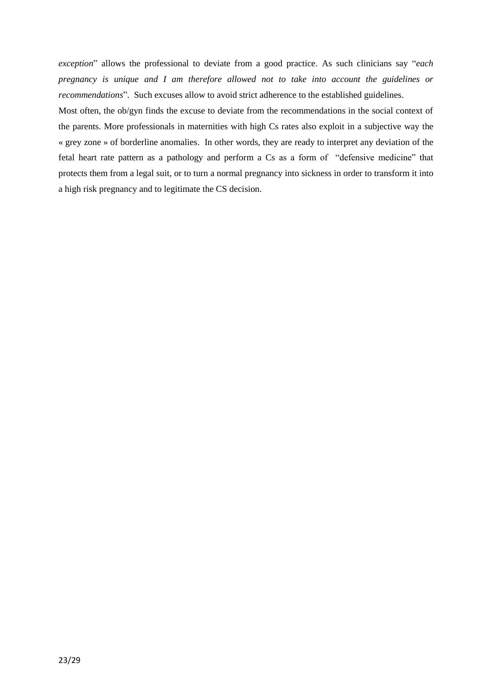*exception*" allows the professional to deviate from a good practice. As such clinicians say "*each pregnancy is unique and I am therefore allowed not to take into account the guidelines or recommendations*". Such excuses allow to avoid strict adherence to the established guidelines.

Most often, the ob/gyn finds the excuse to deviate from the recommendations in the social context of the parents. More professionals in maternities with high Cs rates also exploit in a subjective way the « grey zone » of borderline anomalies. In other words, they are ready to interpret any deviation of the fetal heart rate pattern as a pathology and perform a Cs as a form of "defensive medicine" that protects them from a legal suit, or to turn a normal pregnancy into sickness in order to transform it into a high risk pregnancy and to legitimate the CS decision.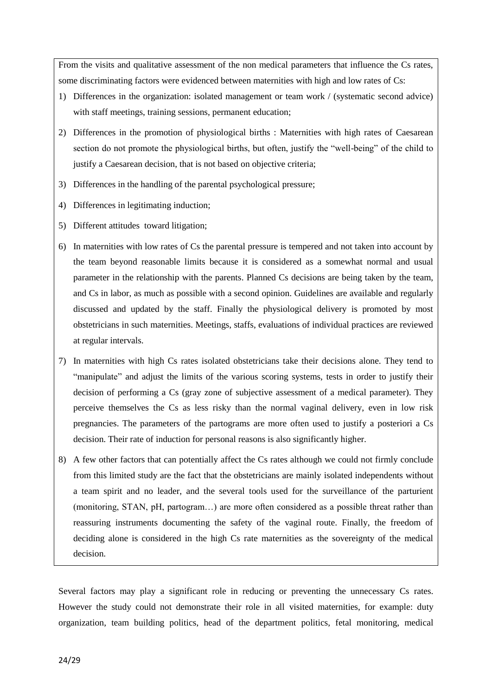From the visits and qualitative assessment of the non medical parameters that influence the Cs rates, some discriminating factors were evidenced between maternities with high and low rates of Cs:

- 1) Differences in the organization: isolated management or team work / (systematic second advice) with staff meetings, training sessions, permanent education;
- 2) Differences in the promotion of physiological births : Maternities with high rates of Caesarean section do not promote the physiological births, but often, justify the "well-being" of the child to justify a Caesarean decision, that is not based on objective criteria;
- 3) Differences in the handling of the parental psychological pressure;
- 4) Differences in legitimating induction;
- 5) Different attitudes toward litigation;
- 6) In maternities with low rates of Cs the parental pressure is tempered and not taken into account by the team beyond reasonable limits because it is considered as a somewhat normal and usual parameter in the relationship with the parents. Planned Cs decisions are being taken by the team, and Cs in labor, as much as possible with a second opinion. Guidelines are available and regularly discussed and updated by the staff. Finally the physiological delivery is promoted by most obstetricians in such maternities. Meetings, staffs, evaluations of individual practices are reviewed at regular intervals.
- 7) In maternities with high Cs rates isolated obstetricians take their decisions alone. They tend to "manipulate" and adjust the limits of the various scoring systems, tests in order to justify their decision of performing a Cs (gray zone of subjective assessment of a medical parameter). They perceive themselves the Cs as less risky than the normal vaginal delivery, even in low risk pregnancies. The parameters of the partograms are more often used to justify a posteriori a Cs decision. Their rate of induction for personal reasons is also significantly higher.
- 8) A few other factors that can potentially affect the Cs rates although we could not firmly conclude from this limited study are the fact that the obstetricians are mainly isolated independents without a team spirit and no leader, and the several tools used for the surveillance of the parturient (monitoring, STAN, pH, partogram…) are more often considered as a possible threat rather than reassuring instruments documenting the safety of the vaginal route. Finally, the freedom of deciding alone is considered in the high Cs rate maternities as the sovereignty of the medical decision.

Several factors may play a significant role in reducing or preventing the unnecessary Cs rates. However the study could not demonstrate their role in all visited maternities, for example: duty organization, team building politics, head of the department politics, fetal monitoring, medical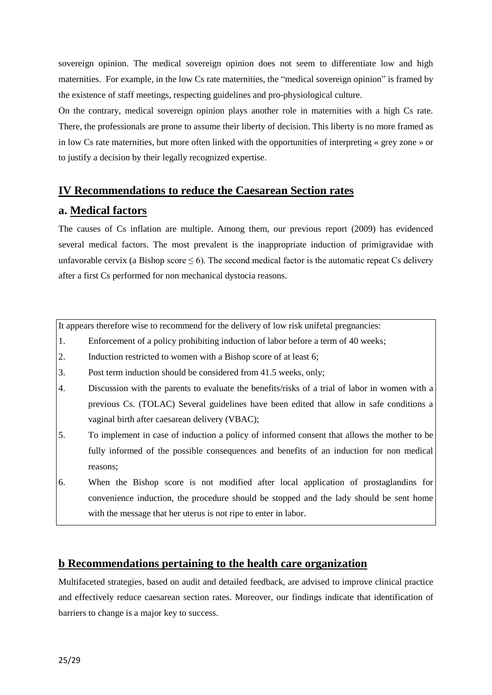sovereign opinion. The medical sovereign opinion does not seem to differentiate low and high maternities. For example, in the low Cs rate maternities, the "medical sovereign opinion" is framed by the existence of staff meetings, respecting guidelines and pro-physiological culture.

On the contrary, medical sovereign opinion plays another role in maternities with a high Cs rate. There, the professionals are prone to assume their liberty of decision. This liberty is no more framed as in low Cs rate maternities, but more often linked with the opportunities of interpreting « grey zone » or to justify a decision by their legally recognized expertise.

## **IV Recommendations to reduce the Caesarean Section rates**

# **a. Medical factors**

The causes of Cs inflation are multiple. Among them, our previous report (2009) has evidenced several medical factors. The most prevalent is the inappropriate induction of primigravidae with unfavorable cervix (a Bishop score  $\leq 6$ ). The second medical factor is the automatic repeat Cs delivery after a first Cs performed for non mechanical dystocia reasons.

It appears therefore wise to recommend for the delivery of low risk unifetal pregnancies:

- 1. Enforcement of a policy prohibiting induction of labor before a term of 40 weeks;
- 2. Induction restricted to women with a Bishop score of at least 6;
- 3. Post term induction should be considered from 41.5 weeks, only;
- 4. Discussion with the parents to evaluate the benefits/risks of a trial of labor in women with a previous Cs. (TOLAC) Several guidelines have been edited that allow in safe conditions a vaginal birth after caesarean delivery (VBAC);
- 5. To implement in case of induction a policy of informed consent that allows the mother to be fully informed of the possible consequences and benefits of an induction for non medical reasons;
- 6. When the Bishop score is not modified after local application of prostaglandins for convenience induction, the procedure should be stopped and the lady should be sent home with the message that her uterus is not ripe to enter in labor.

# **b Recommendations pertaining to the health care organization**

Multifaceted strategies, based on audit and detailed feedback, are advised to improve clinical practice and effectively reduce caesarean section rates. Moreover, our findings indicate that identification of barriers to change is a major key to success.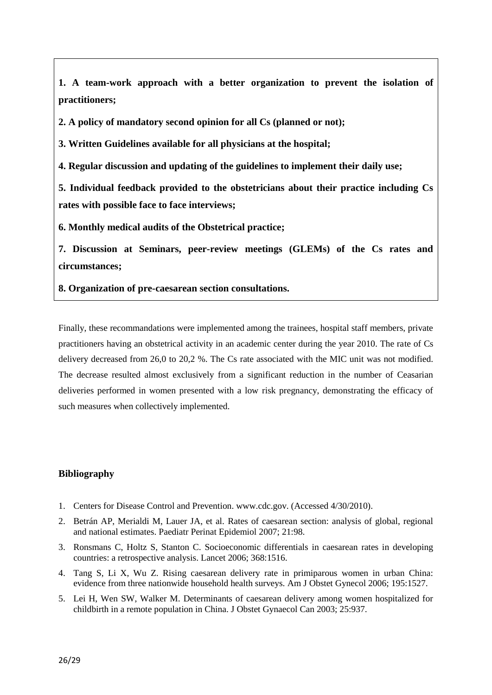**1. A team-work approach with a better organization to prevent the isolation of practitioners;**

**2. A policy of mandatory second opinion for all Cs (planned or not);**

**3. Written Guidelines available for all physicians at the hospital;**

**4. Regular discussion and updating of the guidelines to implement their daily use;**

**5. Individual feedback provided to the obstetricians about their practice including Cs rates with possible face to face interviews;**

**6. Monthly medical audits of the Obstetrical practice;**

**7. Discussion at Seminars, peer-review meetings (GLEMs) of the Cs rates and circumstances;**

**8. Organization of pre-caesarean section consultations.**

Finally, these recommandations were implemented among the trainees, hospital staff members, private practitioners having an obstetrical activity in an academic center during the year 2010. The rate of Cs delivery decreased from 26,0 to 20,2 %. The Cs rate associated with the MIC unit was not modified. The decrease resulted almost exclusively from a significant reduction in the number of Ceasarian deliveries performed in women presented with a low risk pregnancy, demonstrating the efficacy of such measures when collectively implemented.

#### **Bibliography**

- 1. Centers for Disease Control and Prevention. www.cdc.gov. (Accessed 4/30/2010).
- 2. [Betrán AP, Merialdi M, Lauer JA, et al. Rates of caesarean section: analysis of global, regional](https://vpn.gw.ulg.ac.be/contents/cesarean-delivery-preoperative-issues/abstract/,DanaInfo=www.uptodate.com+2)  [and national estimates. Paediatr Perinat Epidemiol 2007; 21:98.](https://vpn.gw.ulg.ac.be/contents/cesarean-delivery-preoperative-issues/abstract/,DanaInfo=www.uptodate.com+2)
- 3. [Ronsmans C, Holtz S, Stanton C. Socioeconomic differentials in caesarean rates in developing](https://vpn.gw.ulg.ac.be/contents/cesarean-delivery-preoperative-issues/abstract/,DanaInfo=www.uptodate.com+3)  [countries: a retrospective analysis. Lancet 2006; 368:1516.](https://vpn.gw.ulg.ac.be/contents/cesarean-delivery-preoperative-issues/abstract/,DanaInfo=www.uptodate.com+3)
- 4. Tang S, Li X, Wu Z. Rising caesarean [delivery rate in primiparous women in urban China:](https://vpn.gw.ulg.ac.be/contents/cesarean-delivery-preoperative-issues/abstract/,DanaInfo=www.uptodate.com+4)  [evidence from three nationwide household health surveys. Am J](https://vpn.gw.ulg.ac.be/contents/cesarean-delivery-preoperative-issues/abstract/,DanaInfo=www.uptodate.com+4) Obstet Gynecol 2006; 195:1527.
- 5. [Lei H, Wen SW, Walker M. Determinants of caesarean delivery among women hospitalized for](https://vpn.gw.ulg.ac.be/contents/cesarean-delivery-preoperative-issues/abstract/,DanaInfo=www.uptodate.com+5)  childbirth [in a remote population in China. J Obstet Gynaecol Can 2003; 25:937.](https://vpn.gw.ulg.ac.be/contents/cesarean-delivery-preoperative-issues/abstract/,DanaInfo=www.uptodate.com+5)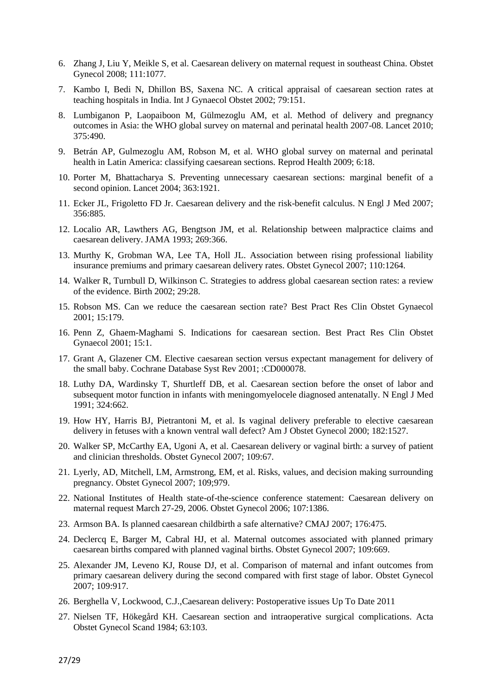- 6. Zhang J, Liu Y, Meikle S, et al. Caesarean [delivery on maternal request in southeast China. Obstet](https://vpn.gw.ulg.ac.be/contents/cesarean-delivery-preoperative-issues/abstract/,DanaInfo=www.uptodate.com+6)  [Gynecol 2008; 111:1077.](https://vpn.gw.ulg.ac.be/contents/cesarean-delivery-preoperative-issues/abstract/,DanaInfo=www.uptodate.com+6)
- 7. [Kambo I, Bedi N, Dhillon BS, Saxena NC. A critical appraisal of caesarean](https://vpn.gw.ulg.ac.be/contents/cesarean-delivery-preoperative-issues/abstract/,DanaInfo=www.uptodate.com+7) section rates at [teaching hospitals in India. Int J Gynaecol Obstet 2002; 79:151.](https://vpn.gw.ulg.ac.be/contents/cesarean-delivery-preoperative-issues/abstract/,DanaInfo=www.uptodate.com+7)
- 8. [Lumbiganon P, Laopaiboon M, Gülmezoglu AM, et al. Method of delivery and pregnancy](https://vpn.gw.ulg.ac.be/contents/cesarean-delivery-preoperative-issues/abstract/,DanaInfo=www.uptodate.com+8)  [outcomes in Asia: the WHO global survey on maternal and perinatal health 2007-08. Lancet 2010;](https://vpn.gw.ulg.ac.be/contents/cesarean-delivery-preoperative-issues/abstract/,DanaInfo=www.uptodate.com+8)  [375:490.](https://vpn.gw.ulg.ac.be/contents/cesarean-delivery-preoperative-issues/abstract/,DanaInfo=www.uptodate.com+8)
- 9. [Betrán AP, Gulmezoglu AM, Robson M, et al. WHO global survey on maternal and perinatal](https://vpn.gw.ulg.ac.be/contents/cesarean-delivery-preoperative-issues/abstract/,DanaInfo=www.uptodate.com+9)  [health in Latin America: classifying caesarean sections. Reprod Health 2009; 6:18.](https://vpn.gw.ulg.ac.be/contents/cesarean-delivery-preoperative-issues/abstract/,DanaInfo=www.uptodate.com+9)
- 10. [Porter M, Bhattacharya S. Preventing unnecessary caesarean sections: marginal benefit of a](https://vpn.gw.ulg.ac.be/contents/cesarean-delivery-preoperative-issues/abstract/,DanaInfo=www.uptodate.com+10)  [second opinion. Lancet 2004; 363:1921.](https://vpn.gw.ulg.ac.be/contents/cesarean-delivery-preoperative-issues/abstract/,DanaInfo=www.uptodate.com+10)
- 11. Ecker JL, Frigoletto FD Jr. Caesarean [delivery and the risk-benefit calculus. N Engl J Med 2007;](https://vpn.gw.ulg.ac.be/contents/cesarean-delivery-preoperative-issues/abstract/,DanaInfo=www.uptodate.com+11)  [356:885.](https://vpn.gw.ulg.ac.be/contents/cesarean-delivery-preoperative-issues/abstract/,DanaInfo=www.uptodate.com+11)
- 12. [Localio AR, Lawthers AG, Bengtson JM, et al. Relationship between malpractice claims and](https://vpn.gw.ulg.ac.be/contents/cesarean-delivery-preoperative-issues/abstract/,DanaInfo=www.uptodate.com+12)  caesarean [delivery. JAMA 1993; 269:366.](https://vpn.gw.ulg.ac.be/contents/cesarean-delivery-preoperative-issues/abstract/,DanaInfo=www.uptodate.com+12)
- 13. [Murthy K, Grobman WA, Lee TA, Holl JL. Association between rising professional liability](https://vpn.gw.ulg.ac.be/contents/cesarean-delivery-preoperative-issues/abstract/,DanaInfo=www.uptodate.com+13)  insurance premiums and primary caesarean [delivery rates. Obstet Gynecol 2007; 110:1264.](https://vpn.gw.ulg.ac.be/contents/cesarean-delivery-preoperative-issues/abstract/,DanaInfo=www.uptodate.com+13)
- 14. [Walker R, Turnbull D, Wilkinson C. Strategies to address global caesarean](https://vpn.gw.ulg.ac.be/contents/cesarean-delivery-preoperative-issues/abstract/,DanaInfo=www.uptodate.com+14) section rates: a review [of the evidence. Birth 2002; 29:28.](https://vpn.gw.ulg.ac.be/contents/cesarean-delivery-preoperative-issues/abstract/,DanaInfo=www.uptodate.com+14)
- 15. [Robson MS. Can we reduce the caesarean section rate? Best Pract Res Clin Obstet Gynaecol](https://vpn.gw.ulg.ac.be/contents/cesarean-delivery-preoperative-issues/abstract/,DanaInfo=www.uptodate.com+15)  [2001; 15:179.](https://vpn.gw.ulg.ac.be/contents/cesarean-delivery-preoperative-issues/abstract/,DanaInfo=www.uptodate.com+15)
- 16. [Penn Z, Ghaem-Maghami S. Indications for caesarean section. Best Pract Res Clin Obstet](https://vpn.gw.ulg.ac.be/contents/cesarean-delivery-preoperative-issues/abstract/,DanaInfo=www.uptodate.com+16)  [Gynaecol 2001; 15:1.](https://vpn.gw.ulg.ac.be/contents/cesarean-delivery-preoperative-issues/abstract/,DanaInfo=www.uptodate.com+16)
- 17. [Grant A, Glazener CM. Elective caesarean section versus expectant management for delivery of](https://vpn.gw.ulg.ac.be/contents/cesarean-delivery-preoperative-issues/abstract/,DanaInfo=www.uptodate.com+17)  [the small baby. Cochrane Database Syst Rev 2001; :CD000078.](https://vpn.gw.ulg.ac.be/contents/cesarean-delivery-preoperative-issues/abstract/,DanaInfo=www.uptodate.com+17)
- 18. [Luthy DA, Wardinsky T, Shurtleff DB, et al. Caesarean](https://vpn.gw.ulg.ac.be/contents/cesarean-delivery-preoperative-issues/abstract/,DanaInfo=www.uptodate.com+18) section before the onset of labor and [subsequent motor function in infants with meningomyelocele diagnosed antenatally. N Engl J Med](https://vpn.gw.ulg.ac.be/contents/cesarean-delivery-preoperative-issues/abstract/,DanaInfo=www.uptodate.com+18)  [1991; 324:662.](https://vpn.gw.ulg.ac.be/contents/cesarean-delivery-preoperative-issues/abstract/,DanaInfo=www.uptodate.com+18)
- 19. [How HY, Harris BJ, Pietrantoni M, et al. Is vaginal delivery preferable to elective caesarean](https://vpn.gw.ulg.ac.be/contents/cesarean-delivery-preoperative-issues/abstract/,DanaInfo=www.uptodate.com+19) [delivery in fetuses with a known ventral wall defect? Am J Obstet Gynecol 2000; 182:1527.](https://vpn.gw.ulg.ac.be/contents/cesarean-delivery-preoperative-issues/abstract/,DanaInfo=www.uptodate.com+19)
- 20. [Walker SP, McCarthy EA, Ugoni A, et al. Caesarean](https://vpn.gw.ulg.ac.be/contents/cesarean-delivery-preoperative-issues/abstract/,DanaInfo=www.uptodate.com+20) delivery or vaginal birth: a survey of patient [and clinician thresholds. Obstet Gynecol 2007; 109:67.](https://vpn.gw.ulg.ac.be/contents/cesarean-delivery-preoperative-issues/abstract/,DanaInfo=www.uptodate.com+20)
- 21. Lyerly, AD, Mitchell, LM, Armstrong, EM, et al. Risks, values, and decision making surrounding pregnancy. Obstet Gynecol 2007; 109;979.
- 22. [National Institutes of Health state-of-the-science conference statement: Caesarean](https://vpn.gw.ulg.ac.be/contents/cesarean-delivery-postoperative-issues/abstract/,DanaInfo=www.uptodate.com+13) delivery on [maternal request March 27-29, 2006. Obstet Gynecol 2006; 107:1386.](https://vpn.gw.ulg.ac.be/contents/cesarean-delivery-postoperative-issues/abstract/,DanaInfo=www.uptodate.com+13)
- 23. Armson BA. Is planned caesarean [childbirth a safe alternative? CMAJ 2007; 176:475.](https://vpn.gw.ulg.ac.be/contents/cesarean-delivery-postoperative-issues/abstract/,DanaInfo=www.uptodate.com+14)
- 24. [Declercq E, Barger M, Cabral HJ, et al. Maternal outcomes associated with planned primary](https://vpn.gw.ulg.ac.be/contents/cesarean-delivery-postoperative-issues/abstract/,DanaInfo=www.uptodate.com+15)  caesarean [births compared with planned vaginal births. Obstet Gynecol 2007; 109:669.](https://vpn.gw.ulg.ac.be/contents/cesarean-delivery-postoperative-issues/abstract/,DanaInfo=www.uptodate.com+15)
- 25. [Alexander JM, Leveno KJ, Rouse DJ, et al. Comparison of maternal and infant outcomes from](https://vpn.gw.ulg.ac.be/contents/cesarean-delivery-postoperative-issues/abstract/,DanaInfo=www.uptodate.com+16)  primary caesarean [delivery during the second compared with first stage of labor. Obstet Gynecol](https://vpn.gw.ulg.ac.be/contents/cesarean-delivery-postoperative-issues/abstract/,DanaInfo=www.uptodate.com+16)  [2007; 109:917.](https://vpn.gw.ulg.ac.be/contents/cesarean-delivery-postoperative-issues/abstract/,DanaInfo=www.uptodate.com+16)
- 26. Berghella V, Lockwood, C.J.,Caesarean delivery: Postoperative issues Up To Date 2011
- 27. Nielsen TF, Hökegård KH. Caesarean [section and intraoperative surgical complications. Acta](https://vpn.gw.ulg.ac.be/contents/cesarean-delivery-postoperative-issues/abstract/,DanaInfo=www.uptodate.com+41)  [Obstet Gynecol Scand 1984; 63:103.](https://vpn.gw.ulg.ac.be/contents/cesarean-delivery-postoperative-issues/abstract/,DanaInfo=www.uptodate.com+41)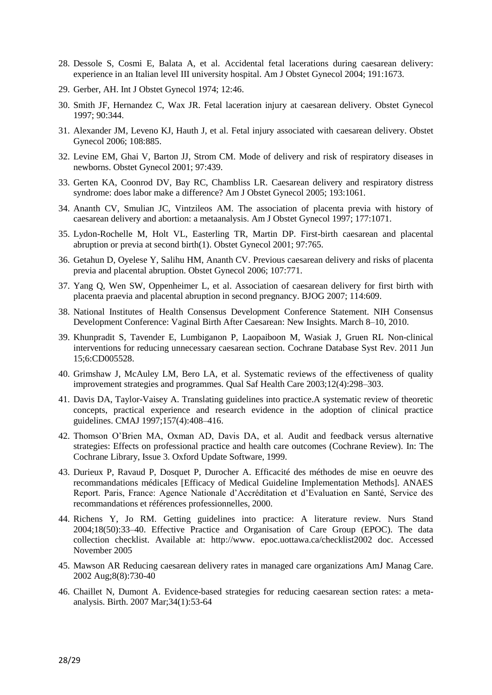- 28. [Dessole S, Cosmi E, Balata A, et al. Accidental fetal lacerations during caesarean](https://vpn.gw.ulg.ac.be/contents/cesarean-delivery-postoperative-issues/abstract/,DanaInfo=www.uptodate.com+42) delivery: [experience in an Italian level III university hospital. Am J Obstet Gynecol 2004; 191:1673.](https://vpn.gw.ulg.ac.be/contents/cesarean-delivery-postoperative-issues/abstract/,DanaInfo=www.uptodate.com+42)
- 29. Gerber, AH. Int J Obstet Gynecol 1974; 12:46.
- 30. [Smith JF, Hernandez C, Wax JR. Fetal laceration injury at caesarean](https://vpn.gw.ulg.ac.be/contents/cesarean-delivery-postoperative-issues/abstract/,DanaInfo=www.uptodate.com+44) delivery. Obstet Gynecol [1997; 90:344.](https://vpn.gw.ulg.ac.be/contents/cesarean-delivery-postoperative-issues/abstract/,DanaInfo=www.uptodate.com+44)
- 31. [Alexander JM, Leveno KJ, Hauth J, et al. Fetal injury associated with caesarean](https://vpn.gw.ulg.ac.be/contents/cesarean-delivery-postoperative-issues/abstract/,DanaInfo=www.uptodate.com+45) delivery. Obstet [Gynecol 2006; 108:885.](https://vpn.gw.ulg.ac.be/contents/cesarean-delivery-postoperative-issues/abstract/,DanaInfo=www.uptodate.com+45)
- 32. [Levine EM, Ghai V, Barton JJ, Strom CM. Mode of delivery and risk of respiratory diseases in](https://vpn.gw.ulg.ac.be/contents/cesarean-delivery-postoperative-issues/abstract/,DanaInfo=www.uptodate.com+46)  [newborns. Obstet Gynecol 2001; 97:439.](https://vpn.gw.ulg.ac.be/contents/cesarean-delivery-postoperative-issues/abstract/,DanaInfo=www.uptodate.com+46)
- 33. [Gerten KA, Coonrod DV, Bay RC, Chambliss LR. Caesarean](https://vpn.gw.ulg.ac.be/contents/cesarean-delivery-postoperative-issues/abstract/,DanaInfo=www.uptodate.com+47) delivery and respiratory distress [syndrome: does labor make a difference? Am J Obstet Gynecol 2005; 193:1061.](https://vpn.gw.ulg.ac.be/contents/cesarean-delivery-postoperative-issues/abstract/,DanaInfo=www.uptodate.com+47)
- 34. [Ananth CV, Smulian JC, Vintzileos AM. The association of placenta previa with history of](https://vpn.gw.ulg.ac.be/contents/cesarean-delivery-postoperative-issues/abstract/,DanaInfo=www.uptodate.com+50)  caesarean [delivery and abortion: a metaanalysis. Am J Obstet Gynecol 1997; 177:1071.](https://vpn.gw.ulg.ac.be/contents/cesarean-delivery-postoperative-issues/abstract/,DanaInfo=www.uptodate.com+50)
- 35. [Lydon-Rochelle M, Holt VL, Easterling TR, Martin DP. First-birth caesarean](https://vpn.gw.ulg.ac.be/contents/cesarean-delivery-postoperative-issues/abstract/,DanaInfo=www.uptodate.com+51) and placental [abruption or previa at second birth\(1\). Obstet Gynecol 2001; 97:765.](https://vpn.gw.ulg.ac.be/contents/cesarean-delivery-postoperative-issues/abstract/,DanaInfo=www.uptodate.com+51)
- 36. [Getahun D, Oyelese Y, Salihu HM, Ananth CV. Previous caesarean](https://vpn.gw.ulg.ac.be/contents/cesarean-delivery-postoperative-issues/abstract/,DanaInfo=www.uptodate.com+52) delivery and risks of placenta [previa and placental abruption. Obstet Gynecol 2006; 107:771.](https://vpn.gw.ulg.ac.be/contents/cesarean-delivery-postoperative-issues/abstract/,DanaInfo=www.uptodate.com+52)
- 37. Yang Q, Wen SW, Oppenheimer L, et [al. Association of caesarean delivery for first birth with](https://vpn.gw.ulg.ac.be/contents/cesarean-delivery-postoperative-issues/abstract/,DanaInfo=www.uptodate.com+53)  [placenta praevia and placental abruption in second pregnancy. BJOG 2007; 114:609.](https://vpn.gw.ulg.ac.be/contents/cesarean-delivery-postoperative-issues/abstract/,DanaInfo=www.uptodate.com+53)
- 38. National Institutes of Health Consensus Development Conference Statement. NIH Consensus Development Conference: Vaginal Birth After Caesarean: New Insights. March 8–10, 2010.
- 39. [Khunpradit S,](https://vpn.gw.ulg.ac.be/,DanaInfo=www.ncbi.nlm.nih.gov+pubmed?term=%22Khunpradit%20S%22%5BAuthor%5D) [Tavender E,](https://vpn.gw.ulg.ac.be/,DanaInfo=www.ncbi.nlm.nih.gov+pubmed?term=%22Tavender%20E%22%5BAuthor%5D) [Lumbiganon P,](https://vpn.gw.ulg.ac.be/,DanaInfo=www.ncbi.nlm.nih.gov+pubmed?term=%22Lumbiganon%20P%22%5BAuthor%5D) [Laopaiboon M,](https://vpn.gw.ulg.ac.be/,DanaInfo=www.ncbi.nlm.nih.gov+pubmed?term=%22Laopaiboon%20M%22%5BAuthor%5D) [Wasiak J,](https://vpn.gw.ulg.ac.be/,DanaInfo=www.ncbi.nlm.nih.gov+pubmed?term=%22Wasiak%20J%22%5BAuthor%5D) [Gruen RL](https://vpn.gw.ulg.ac.be/,DanaInfo=www.ncbi.nlm.nih.gov+pubmed?term=%22Gruen%20RL%22%5BAuthor%5D) Non-clinical interventions for reducing unnecessary caesarean section. [Cochrane Database Syst Rev.](https://vpn.gw.ulg.ac.be/pubmed/,DanaInfo=www.ncbi.nlm.nih.gov+21678348) 2011 Jun 15;6:CD005528.
- 40. Grimshaw J, McAuley LM, Bero LA, et al. Systematic reviews of the effectiveness of quality improvement strategies and programmes. Qual Saf Health Care 2003;12(4):298–303.
- 41. Davis DA, Taylor-Vaisey A. Translating guidelines into practice.A systematic review of theoretic concepts, practical experience and research evidence in the adoption of clinical practice guidelines. CMAJ 1997;157(4):408–416.
- 42. Thomson O'Brien MA, Oxman AD, Davis DA, et al. Audit and feedback versus alternative strategies: Effects on professional practice and health care outcomes (Cochrane Review). In: The Cochrane Library, Issue 3. Oxford Update Software, 1999.
- 43. Durieux P, Ravaud P, Dosquet P, Durocher A. Efficacité des méthodes de mise en oeuvre des recommandations médicales [Efficacy of Medical Guideline Implementation Methods]. ANAES Report. Paris, France: Agence Nationale d'Accréditation et d'Evaluation en Santé, Service des recommandations et références professionnelles, 2000.
- 44. Richens Y, Jo RM. Getting guidelines into practice: A literature review. Nurs Stand 2004;18(50):33–40. Effective Practice and Organisation of Care Group (EPOC). The data collection checklist. Available at: [http://www.](http://www/) epoc.uottawa.ca/checklist2002 doc. Accessed November 2005
- 45. [Mawson AR](http://www.ncbi.nlm.nih.gov/pubmed?term=%22Mawson%20AR%22%5BAuthor%5D) Reducing caesarean delivery rates in managed care organizations A[mJ Manag Care.](javascript:AL_get(this,%20) 2002 Aug;8(8):730-40
- 46. [Chaillet N,](http://www.ncbi.nlm.nih.gov/pubmed?term=%22Chaillet%20N%22%5BAuthor%5D) [Dumont A.](http://www.ncbi.nlm.nih.gov/pubmed?term=%22Dumont%20A%22%5BAuthor%5D) Evidence-based strategies for reducing caesarean section rates: a metaanalysis. [Birth.](javascript:AL_get(this,%20) 2007 Mar;34(1):53-64